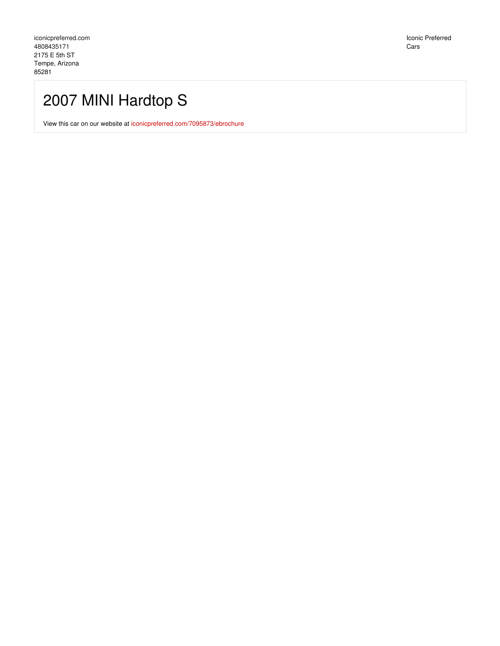Iconic Preferred Cars

# 2007 MINI Hardtop S

View this car on our website at [iconicpreferred.com/7095873/ebrochure](https://iconicpreferred.com/vehicle/7095873/2007-mini-hardtop-s-tempe-arizona-85281/7095873/ebrochure)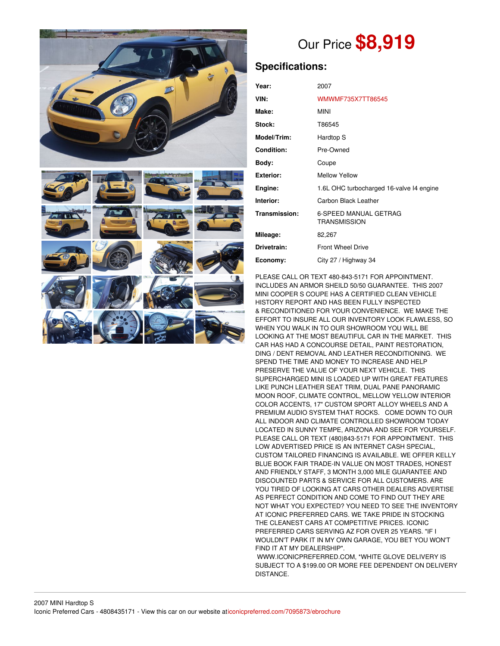

# Our Price **\$8,919**

# **Specifications:**

| Year:             | 2007                                                |  |
|-------------------|-----------------------------------------------------|--|
| VIN:              | WMWMF735X7TT86545                                   |  |
| Make:             | <b>MINI</b>                                         |  |
| Stock:            | T86545                                              |  |
| Model/Trim:       | Hardtop S                                           |  |
| <b>Condition:</b> | Pre-Owned                                           |  |
| Body:             | Coupe                                               |  |
| <b>Exterior:</b>  | <b>Mellow Yellow</b>                                |  |
| Engine:           | 1.6L OHC turbocharged 16-valve 14 engine            |  |
| Interior:         | Carbon Black Leather                                |  |
| Transmission:     | <b>6-SPEED MANUAL GETRAG</b><br><b>TRANSMISSION</b> |  |
| Mileage:          | 82,267                                              |  |
| Drivetrain:       | <b>Front Wheel Drive</b>                            |  |
| Economy:          | City 27 / Highway 34                                |  |

PLEASE CALL OR TEXT 480-843-5171 FOR APPOINTMENT. INCLUDES AN ARMOR SHEILD 50/50 GUARANTEE. THIS 2007 MINI COOPER S COUPE HAS A CERTIFIED CLEAN VEHICLE HISTORY REPORT AND HAS BEEN FULLY INSPECTED & RECONDITIONED FOR YOUR CONVENIENCE. WE MAKE THE EFFORT TO INSURE ALL OUR INVENTORY LOOK FLAWLESS, SO WHEN YOU WALK IN TO OUR SHOWROOM YOU WILL BE LOOKING AT THE MOST BEAUTIFUL CAR IN THE MARKET. THIS CAR HAS HAD A CONCOURSE DETAIL, PAINT RESTORATION, DING / DENT REMOVAL AND LEATHER RECONDITIONING. WE SPEND THE TIME AND MONEY TO INCREASE AND HELP PRESERVE THE VALUE OF YOUR NEXT VEHICLE. THIS SUPERCHARGED MINI IS LOADED UP WITH GREAT FEATURES LIKE PUNCH LEATHER SEAT TRIM, DUAL PANE PANORAMIC MOON ROOF, CLIMATE CONTROL, MELLOW YELLOW INTERIOR COLOR ACCENTS, 17" CUSTOM SPORT ALLOY WHEELS AND A PREMIUM AUDIO SYSTEM THAT ROCKS. COME DOWN TO OUR ALL INDOOR AND CLIMATE CONTROLLED SHOWROOM TODAY LOCATED IN SUNNY TEMPE, ARIZONA AND SEE FOR YOURSELF. PLEASE CALL OR TEXT (480)843-5171 FOR APPOINTMENT. THIS LOW ADVERTISED PRICE IS AN INTERNET CASH SPECIAL, CUSTOM TAILORED FINANCING IS AVAILABLE. WE OFFER KELLY BLUE BOOK FAIR TRADE-IN VALUE ON MOST TRADES, HONEST AND FRIENDLY STAFF, 3 MONTH 3,000 MILE GUARANTEE AND DISCOUNTED PARTS & SERVICE FOR ALL CUSTOMERS. ARE YOU TIRED OF LOOKING AT CARS OTHER DEALERS ADVERTISE AS PERFECT CONDITION AND COME TO FIND OUT THEY ARE NOT WHAT YOU EXPECTED? YOU NEED TO SEE THE INVENTORY AT ICONIC PREFERRED CARS. WE TAKE PRIDE IN STOCKING THE CLEANEST CARS AT COMPETITIVE PRICES. ICONIC PREFERRED CARS SERVING AZ FOR OVER 25 YEARS. "IF I WOULDN'T PARK IT IN MY OWN GARAGE, YOU BET YOU WON'T FIND IT AT MY DEALERSHIP".

WWW.ICONICPREFERRED.COM, \*WHITE GLOVE DELIVERY IS SUBJECT TO A \$199.00 OR MORE FEE DEPENDENT ON DELIVERY DISTANCE.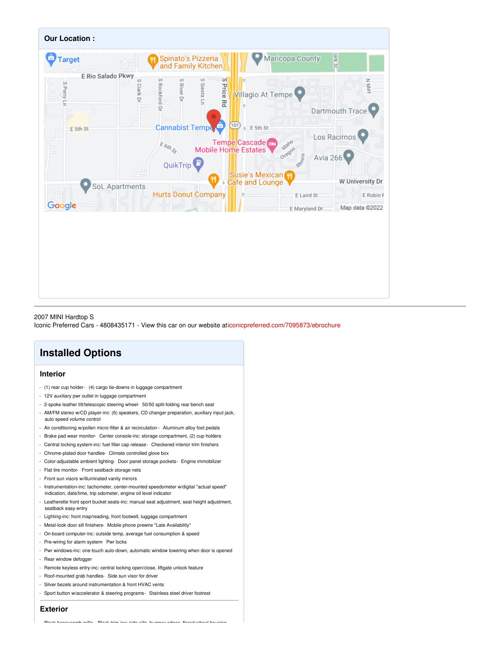

#### 2007 MINI Hardtop S

Iconic Preferred Cars - 4808435171 - View this car on our website a[ticonicpreferred.com/7095873/ebrochure](https://iconicpreferred.com/vehicle/7095873/2007-mini-hardtop-s-tempe-arizona-85281/7095873/ebrochure)

## **Installed Options**

#### **Interior**

- (1) rear cup holder- (4) cargo tie-downs in luggage compartment
- 12V auxiliary pwr outlet in luggage compartment
- 2-spoke leather tilt/telescopic steering wheel- 50/50 split-folding rear bench seat
- AM/FM stereo w/CD player-inc: (6) speakers, CD changer preparation, auxiliary input jack, auto speed volume control
- Air conditioning w/pollen micro-filter & air recirculation Aluminum alloy foot pedals
- Brake pad wear monitor- Center console-inc: storage compartment, (2) cup holders
- Central locking system-inc: fuel filler cap release- Checkered interior trim finishers
- Chrome-plated door handles- Climate controlled glove box
- Color-adjustable ambient lighting- Door panel storage pockets- Engine immobilizer
- Flat tire monitor- Front seatback storage nets
- Front sun visors w/illuminated vanity mirrors
- Instrumentation-inc: tachometer, center-mounted speedometer w/digital "actual speed" indication, date/time, trip odometer, engine oil level indicator
- Leatherette front sport bucket seats-inc: manual seat adjustment, seat height adjustment, seatback easy-entry
- Lighting-inc: front map/reading, front footwell, luggage compartment
- Metal-look door sill finishers- Mobile phone prewire \*Late Availability\*
- On-board computer-inc: outside temp, average fuel consumption & speed
- Pre-wiring for alarm system- Pwr locks
- Pwr windows-inc: one-touch auto-down, automatic window lowering when door is opened
- Rear window defogger
- Remote keyless entry-inc: central locking open/close, liftgate unlock feature
- Roof-mounted grab handles- Side sun visor for driver
- Silver bezels around instrumentation & front HVAC vents
- Sport button w/accelerator & steering programs- Stainless steel driver footrest

### **Exterior**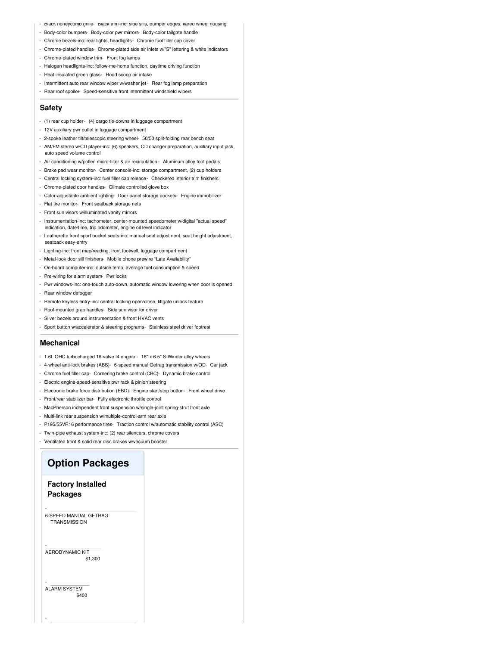- Black honeycomb grille- Black trim-inc: side sills, bumper edges, flared wheel housing
- Body-color bumpers- Body-color pwr mirrors- Body-color tailgate handle
- Chrome bezels-inc: rear lights, headlights- Chrome fuel filler cap cover
- Chrome-plated handles- Chrome-plated side air inlets w/"S" lettering & white indicators
- Chrome-plated window trim- Front fog lamps
- Halogen headlights-inc: follow-me-home function, daytime driving function
- Heat insulated green glass- Hood scoop air intake
- Intermittent auto rear window wiper w/washer jet Rear fog lamp preparation
- Rear roof spoiler- Speed-sensitive front intermittent windshield wipers

#### **Safety**

- (1) rear cup holder- (4) cargo tie-downs in luggage compartment
- 12V auxiliary pwr outlet in luggage compartment
- 2-spoke leather tilt/telescopic steering wheel- 50/50 split-folding rear bench seat
- AM/FM stereo w/CD player-inc: (6) speakers, CD changer preparation, auxiliary input jack, auto speed volume control
- Air conditioning w/pollen micro-filter & air recirculation Aluminum alloy foot pedals
- Brake pad wear monitor- Center console-inc: storage compartment, (2) cup holders
- Central locking system-inc: fuel filler cap release- Checkered interior trim finishers
- Chrome-plated door handles- Climate controlled glove box
- Color-adjustable ambient lighting- Door panel storage pockets- Engine immobilizer
- Flat tire monitor- Front seatback storage nets
- Front sun visors w/illuminated vanity mirrors
- Instrumentation-inc: tachometer, center-mounted speedometer w/digital "actual speed" indication, date/time, trip odometer, engine oil level indicator
- Leatherette front sport bucket seats-inc: manual seat adjustment, seat height adjustment, seatback easy-entry
- Lighting-inc: front map/reading, front footwell, luggage compartment
- Metal-look door sill finishers- Mobile phone prewire \*Late Availability\*
- On-board computer-inc: outside temp, average fuel consumption & speed
- Pre-wiring for alarm system- Pwr locks
- Pwr windows-inc: one-touch auto-down, automatic window lowering when door is opened
- Rear window defogger
- Remote keyless entry-inc: central locking open/close, liftgate unlock feature
- Roof-mounted grab handles- Side sun visor for driver
- Silver bezels around instrumentation & front HVAC vents
- Sport button w/accelerator & steering programs- Stainless steel driver footrest

#### **Mechanical**

- 1.6L OHC turbocharged 16-valve I4 engine 16" x 6.5" S-Winder alloy wheels
- 4-wheel anti-lock brakes (ABS)- 6-speed manual Getrag transmission w/OD- Car jack
- Chrome fuel filler cap- Cornering brake control (CBC)- Dynamic brake control
- Electric engine-speed-sensitive pwr rack & pinion steering
- Electronic brake force distribution (EBD)- Engine start/stop button- Front wheel drive
- Front/rear stabilizer bar- Fully electronic throttle control
- MacPherson independent front suspension w/single-joint spring-strut front axle
- Multi-link rear suspension w/multiple-control-arm rear axle
- P195/55VR16 performance tires- Traction control w/automatic stability control (ASC)
- Twin-pipe exhaust system-inc: (2) rear silencers, chrome covers
- Ventilated front & solid rear disc brakes w/vacuum booster

## **Option Packages**

## **Factory Installed Packages**

6-SPEED MANUAL GETRAG **TRANSMISSION** 

-

-

-

-

\$1,300 AERODYNAMIC KIT

\$400 ALARM SYSTEM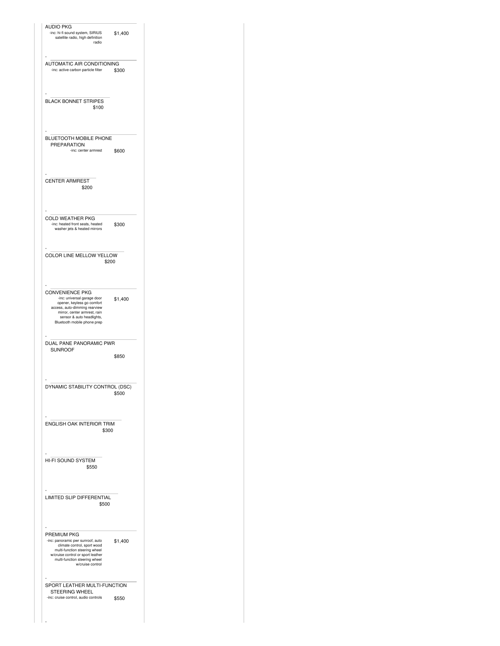| <b>AUDIO PKG</b><br>-inc: hi-fi sound system, SIRIUS<br>\$1,400<br>satellite radio, high definition<br>radio                                                                                                                |
|-----------------------------------------------------------------------------------------------------------------------------------------------------------------------------------------------------------------------------|
| AUTOMATIC AIR CONDITIONING<br>-inc: active carbon particle filter<br>\$300                                                                                                                                                  |
| <b>BLACK BONNET STRIPES</b><br>\$100                                                                                                                                                                                        |
| <b>BLUETOOTH MOBILE PHONE</b><br>PREPARATION<br>-inc: center armrest<br>\$600                                                                                                                                               |
| <b>CENTER ARMREST</b><br>\$200                                                                                                                                                                                              |
| <b>COLD WEATHER PKG</b><br>-inc: heated front seats, heated<br>\$300                                                                                                                                                        |
| washer jets & heated mirrors<br>COLOR LINE MELLOW YELLOW                                                                                                                                                                    |
| \$200                                                                                                                                                                                                                       |
| <b>CONVENIENCE PKG</b><br>-inc: universal garage door<br>\$1,400<br>opener, keyless go comfort<br>access, auto-dimming rearview<br>mirror, center armrest, rain<br>sensor & auto headlights,<br>Bluetooth mobile phone prep |
|                                                                                                                                                                                                                             |
| DUAL PANE PANORAMIC PWR<br><b>SUNROOF</b><br>\$850                                                                                                                                                                          |
| DYNAMIC STABILITY CONTROL (DSC)<br>\$500                                                                                                                                                                                    |
| ENGLISH OAK INTERIOR TRIM<br>\$300                                                                                                                                                                                          |
| HI-FI SOUND SYSTEM<br>\$550                                                                                                                                                                                                 |
| LIMITED SLIP DIFFERENTIAL<br>\$500                                                                                                                                                                                          |
| PREMIUM PKG<br>-inc: panoramic pwr sunroof, auto<br>\$1,400<br>climate control, sport wood<br>multi-function steering wheel<br>w/cruise control or sport leather<br>multi-function steering wheel<br>w/cruise control       |
| SPORT LEATHER MULTI-FUNCTION<br>STEERING WHEEL                                                                                                                                                                              |
| -inc: cruise control, audio controls<br>\$550                                                                                                                                                                               |

 $\mathbf{L}$